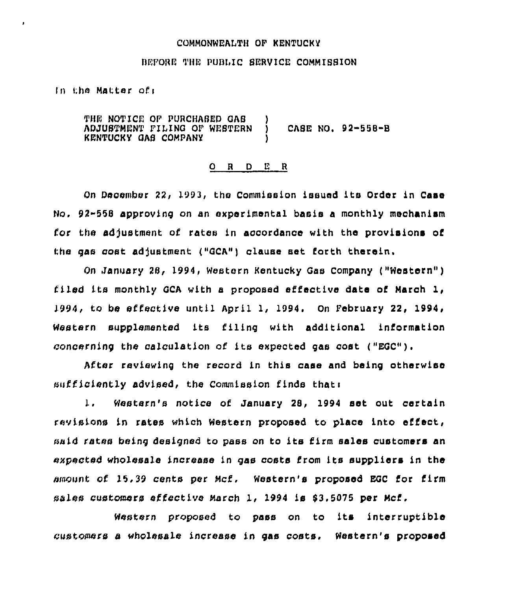## COMMONWEALTH OF KENTUCKY

### BEFORE THE PUBLIC SERVICE COMMISSION

In the Matter of:

Î

THE NOTICE OF PURCHASED GAS )<br>ADJUSTMENT FILING OF WESTERN ) ADJUSTMENT FILING OF WESTERN ) CASE NO. 92-558-B KENTUCKY GAS COMPANY )

#### 0 <sup>R</sup> <sup>D</sup> E <sup>R</sup>

On December 22, 1993, the Commission issued its Order in Case No, 92-558 approving on an experimental basis a monthly mechanism for the adjustment of rates in accordance with the provisions of the gas cost adjustment ("GCA") clause set forth therein.

On January 28, 1994, Western Kentucky Gas Company ("Western" ) filed its monthly GCA with a proposed effective date of March 1, )994, to be effective until April 1, 1994. On February 22, 1994, Western supplemented its filing with additional information concerning the calculation of its expected gas coat ("EGC").

After reviewing the record in this case and being otherwise sufficiently advised, the Commission finds that:

 $1.$ Western's notice of January 28, 1994 set out certain revisions in rates which Western proposed to place into effect, said rates being designed ko pass on to its firm sales customers an expected wholesale increase in gas costs from its suppliers in the amount of 15,39 cenks per Mcf. Western's proposed EGC for firm sales customers effective March 1, 1994 is \$3.5075 per Mcf.

Western proposed to pass on to its interruptible customers a wholesale increase in gas costs. Western's proposed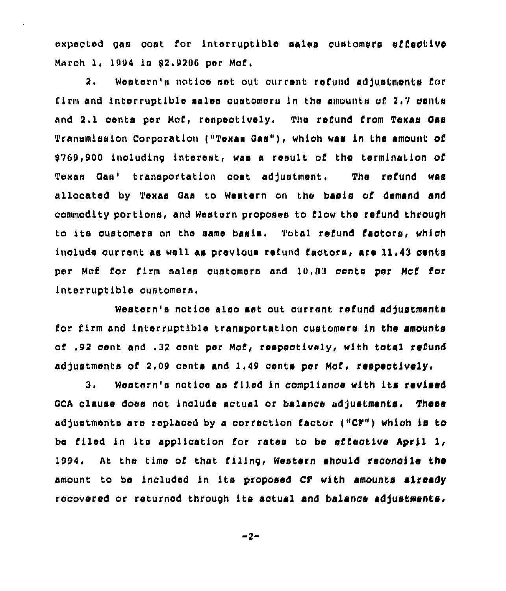oxpoctod ga» cost for Intorruptiblo sales customers effective March 1, 1994 is \$2.9206 per Mcf.

2. Western'» notice »»t out current refund «dfustments for firm and intorruptible sales customers in the amounts of  $2.7$  cents and 2.1 cents per Mcf, respectively. The refund from Texas Gas Transmission Corporation ("Texas Gas"), which was in the amount of 9769,900 including interest, was a result of the termination of Texas Gas' transportation cost adjustment. The refund was allocated by Texas Gas to Western on the basis of demand and commodity portions, and Western proposes to I'low the refund through to ita customers on tho aamo basis, Total refund Cactors, which include current as well as previous refund factors, are 11.43 cents per Mcf for firm sales customers and 10,83 cents per Mcf for interruptible customers.

Westorn's notice also set out current refund adjustments for firm and interruptible transportation oustomers in the amounts of .92 cont and .32 cont por Mcf, respaotlvsly, with total refund adjustments of 2.09 cents and 1.49 cents per Mcf, respectively.

3. Western's notice as filed in compliance with its revised GCA clause does not include actual or balance adjustments, These adjustments are replaced by a correction factor ("CF") which is to be filed in its application for rates to be effective April 1, 1994. At the time of that filing< Western should reconcile the amount to bo includod in Its proposed CF with amounts already rocoverod or returned through its actual and balance adjustments.

-2-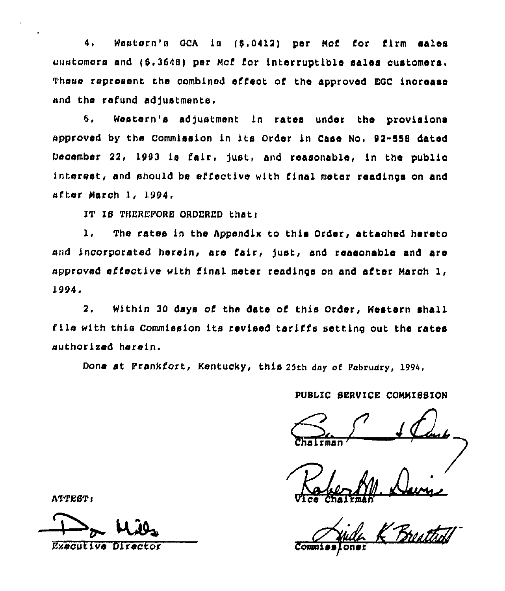4. Western'n QCA is (5.0412) per Mcf for firm sales customers and (\$.3648) per Mcf for interruptible sales oustomers. These represent the combined effect of the approved EQC increase and the refund adjustments.

5 Western's adjustment in rates under the provisions approved by the Commission in its Order in Case No. 92-558 dated December 22, 1993 is fair, just, and reasonable, in the public interest, and should be effective with final meter readings on and after March 1, 1994,

IT IS THEREPORE ORDERED thatt

The rates in the Appendix to this Order, attached hereto  $\mathbf{1}$ . and incorporated herein, are fair, just, and reasonable and are approved effective with final meter readinps on and after March 1, 1994.

2, Within 30 days of the date of this Order, Western shall file with this Commission its revised tariffs setting out the rates authorised herein.

Done at Prankfort, Kentucky, this 25th day of February, 1994.

# PUBLIC SERVICE COMMISSION

Chairman

Ice Chai

ATTEST:

Executive Director